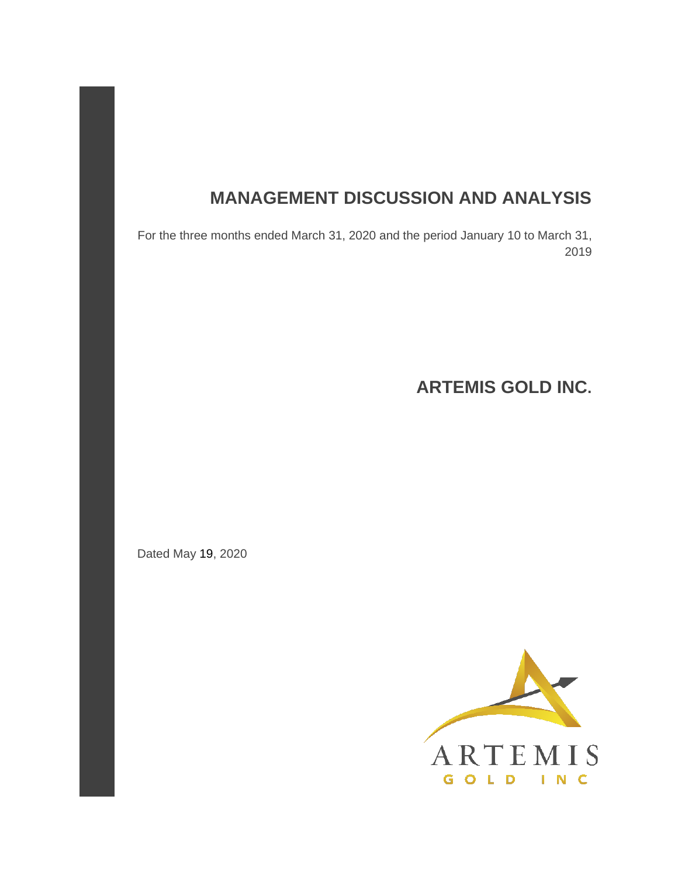# **MANAGEMENT DISCUSSION AND ANALYSIS**

For the three months ended March 31, 2020 and the period January 10 to March 31, 2019

**ARTEMIS GOLD INC.** 

Dated May 19, 2020

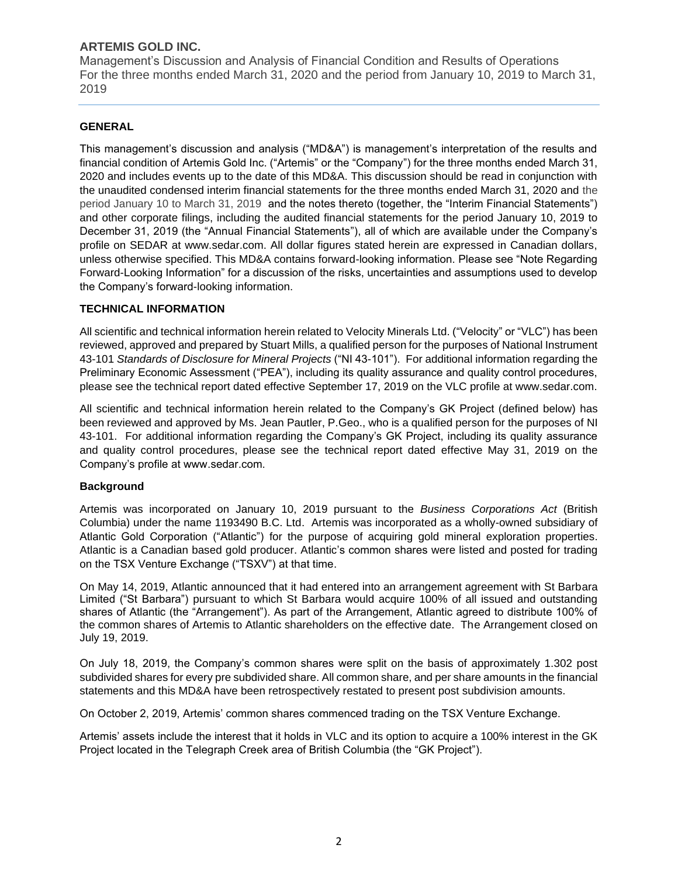Management's Discussion and Analysis of Financial Condition and Results of Operations For the three months ended March 31, 2020 and the period from January 10, 2019 to March 31, 2019

# **GENERAL**

This management's discussion and analysis ("MD&A") is management's interpretation of the results and financial condition of Artemis Gold Inc. ("Artemis" or the "Company") for the three months ended March 31, 2020 and includes events up to the date of this MD&A. This discussion should be read in conjunction with the unaudited condensed interim financial statements for the three months ended March 31, 2020 and the period January 10 to March 31, 2019 and the notes thereto (together, the "Interim Financial Statements") and other corporate filings, including the audited financial statements for the period January 10, 2019 to December 31, 2019 (the "Annual Financial Statements"), all of which are available under the Company's profile on SEDAR at www.sedar.com. All dollar figures stated herein are expressed in Canadian dollars, unless otherwise specified. This MD&A contains forward-looking information. Please see "Note Regarding Forward-Looking Information" for a discussion of the risks, uncertainties and assumptions used to develop the Company's forward-looking information.

# **TECHNICAL INFORMATION**

All scientific and technical information herein related to Velocity Minerals Ltd. ("Velocity" or "VLC") has been reviewed, approved and prepared by Stuart Mills, a qualified person for the purposes of National Instrument 43-101 *Standards of Disclosure for Mineral Projects* ("NI 43-101"). For additional information regarding the Preliminary Economic Assessment ("PEA"), including its quality assurance and quality control procedures, please see the technical report dated effective September 17, 2019 on the VLC profile at www.sedar.com.

All scientific and technical information herein related to the Company's GK Project (defined below) has been reviewed and approved by Ms. Jean Pautler, P.Geo., who is a qualified person for the purposes of NI 43-101. For additional information regarding the Company's GK Project, including its quality assurance and quality control procedures, please see the technical report dated effective May 31, 2019 on the Company's profile at www.sedar.com.

## **Background**

Artemis was incorporated on January 10, 2019 pursuant to the *Business Corporations Act* (British Columbia) under the name 1193490 B.C. Ltd. Artemis was incorporated as a wholly-owned subsidiary of Atlantic Gold Corporation ("Atlantic") for the purpose of acquiring gold mineral exploration properties. Atlantic is a Canadian based gold producer. Atlantic's common shares were listed and posted for trading on the TSX Venture Exchange ("TSXV") at that time.

On May 14, 2019, Atlantic announced that it had entered into an arrangement agreement with St Barbara Limited ("St Barbara") pursuant to which St Barbara would acquire 100% of all issued and outstanding shares of Atlantic (the "Arrangement"). As part of the Arrangement, Atlantic agreed to distribute 100% of the common shares of Artemis to Atlantic shareholders on the effective date. The Arrangement closed on July 19, 2019.

On July 18, 2019, the Company's common shares were split on the basis of approximately 1.302 post subdivided shares for every pre subdivided share. All common share, and per share amounts in the financial statements and this MD&A have been retrospectively restated to present post subdivision amounts.

On October 2, 2019, Artemis' common shares commenced trading on the TSX Venture Exchange.

Artemis' assets include the interest that it holds in VLC and its option to acquire a 100% interest in the GK Project located in the Telegraph Creek area of British Columbia (the "GK Project").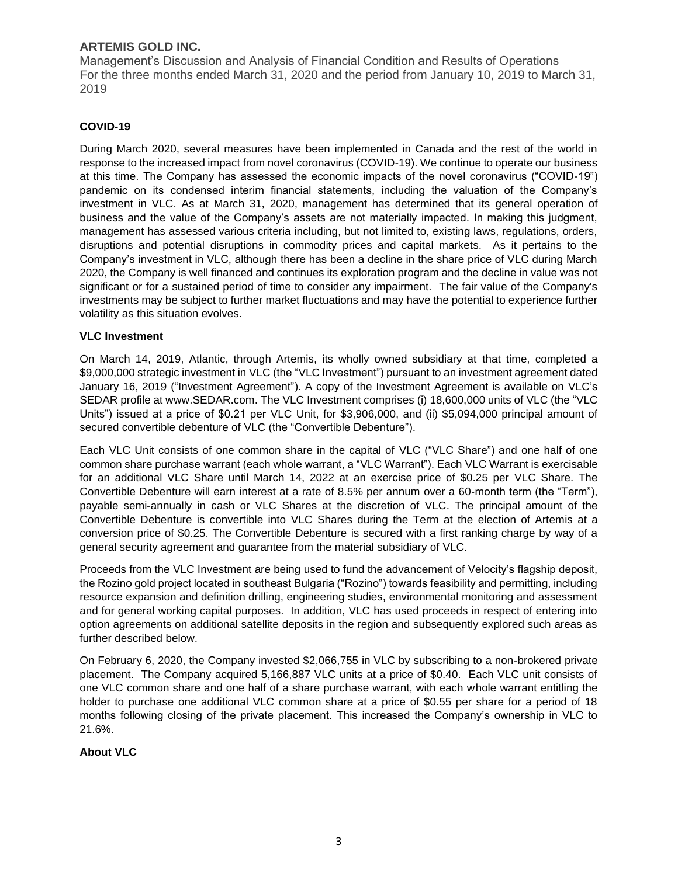Management's Discussion and Analysis of Financial Condition and Results of Operations For the three months ended March 31, 2020 and the period from January 10, 2019 to March 31, 2019

# **COVID-19**

During March 2020, several measures have been implemented in Canada and the rest of the world in response to the increased impact from novel coronavirus (COVID-19). We continue to operate our business at this time. The Company has assessed the economic impacts of the novel coronavirus ("COVID-19") pandemic on its condensed interim financial statements, including the valuation of the Company's investment in VLC. As at March 31, 2020, management has determined that its general operation of business and the value of the Company's assets are not materially impacted. In making this judgment, management has assessed various criteria including, but not limited to, existing laws, regulations, orders, disruptions and potential disruptions in commodity prices and capital markets. As it pertains to the Company's investment in VLC, although there has been a decline in the share price of VLC during March 2020, the Company is well financed and continues its exploration program and the decline in value was not significant or for a sustained period of time to consider any impairment. The fair value of the Company's investments may be subject to further market fluctuations and may have the potential to experience further volatility as this situation evolves.

## **VLC Investment**

On March 14, 2019, Atlantic, through Artemis, its wholly owned subsidiary at that time, completed a \$9,000,000 strategic investment in VLC (the "VLC Investment") pursuant to an investment agreement dated January 16, 2019 ("Investment Agreement"). A copy of the Investment Agreement is available on VLC's SEDAR profile at www.SEDAR.com. The VLC Investment comprises (i) 18,600,000 units of VLC (the "VLC Units") issued at a price of \$0.21 per VLC Unit, for \$3,906,000, and (ii) \$5,094,000 principal amount of secured convertible debenture of VLC (the "Convertible Debenture").

Each VLC Unit consists of one common share in the capital of VLC ("VLC Share") and one half of one common share purchase warrant (each whole warrant, a "VLC Warrant"). Each VLC Warrant is exercisable for an additional VLC Share until March 14, 2022 at an exercise price of \$0.25 per VLC Share. The Convertible Debenture will earn interest at a rate of 8.5% per annum over a 60‐month term (the "Term"), payable semi-annually in cash or VLC Shares at the discretion of VLC. The principal amount of the Convertible Debenture is convertible into VLC Shares during the Term at the election of Artemis at a conversion price of \$0.25. The Convertible Debenture is secured with a first ranking charge by way of a general security agreement and guarantee from the material subsidiary of VLC.

Proceeds from the VLC Investment are being used to fund the advancement of Velocity's flagship deposit, the Rozino gold project located in southeast Bulgaria ("Rozino") towards feasibility and permitting, including resource expansion and definition drilling, engineering studies, environmental monitoring and assessment and for general working capital purposes. In addition, VLC has used proceeds in respect of entering into option agreements on additional satellite deposits in the region and subsequently explored such areas as further described below.

On February 6, 2020, the Company invested \$2,066,755 in VLC by subscribing to a non-brokered private placement. The Company acquired 5,166,887 VLC units at a price of \$0.40. Each VLC unit consists of one VLC common share and one half of a share purchase warrant, with each whole warrant entitling the holder to purchase one additional VLC common share at a price of \$0.55 per share for a period of 18 months following closing of the private placement. This increased the Company's ownership in VLC to 21.6%.

## **About VLC**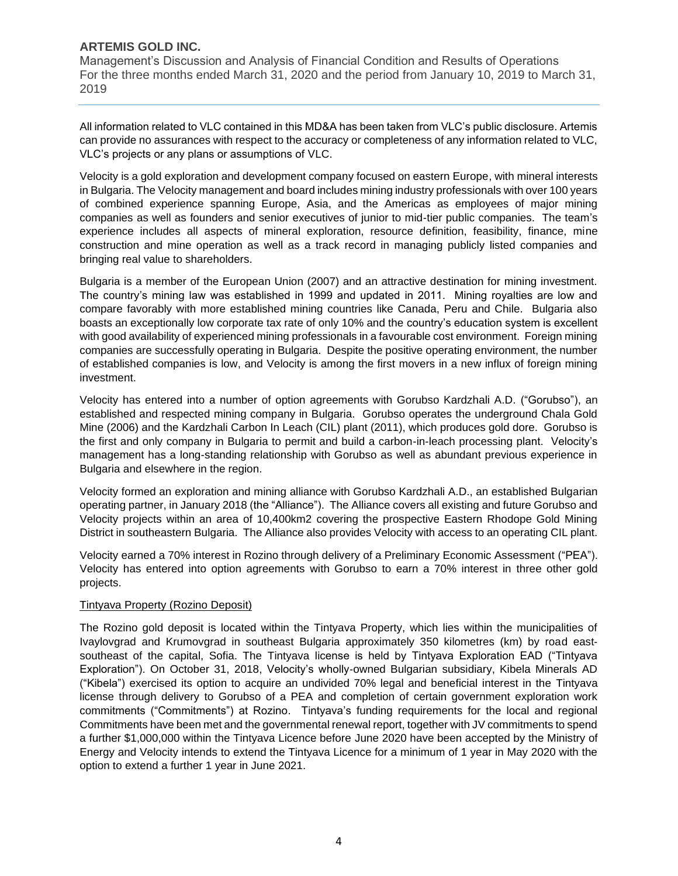Management's Discussion and Analysis of Financial Condition and Results of Operations For the three months ended March 31, 2020 and the period from January 10, 2019 to March 31, 2019

All information related to VLC contained in this MD&A has been taken from VLC's public disclosure. Artemis can provide no assurances with respect to the accuracy or completeness of any information related to VLC, VLC's projects or any plans or assumptions of VLC.

Velocity is a gold exploration and development company focused on eastern Europe, with mineral interests in Bulgaria. The Velocity management and board includes mining industry professionals with over 100 years of combined experience spanning Europe, Asia, and the Americas as employees of major mining companies as well as founders and senior executives of junior to mid-tier public companies. The team's experience includes all aspects of mineral exploration, resource definition, feasibility, finance, mine construction and mine operation as well as a track record in managing publicly listed companies and bringing real value to shareholders.

Bulgaria is a member of the European Union (2007) and an attractive destination for mining investment. The country's mining law was established in 1999 and updated in 2011. Mining royalties are low and compare favorably with more established mining countries like Canada, Peru and Chile. Bulgaria also boasts an exceptionally low corporate tax rate of only 10% and the country's education system is excellent with good availability of experienced mining professionals in a favourable cost environment. Foreign mining companies are successfully operating in Bulgaria. Despite the positive operating environment, the number of established companies is low, and Velocity is among the first movers in a new influx of foreign mining investment.

Velocity has entered into a number of option agreements with Gorubso Kardzhali A.D. ("Gorubso"), an established and respected mining company in Bulgaria. Gorubso operates the underground Chala Gold Mine (2006) and the Kardzhali Carbon In Leach (CIL) plant (2011), which produces gold dore. Gorubso is the first and only company in Bulgaria to permit and build a carbon-in-leach processing plant. Velocity's management has a long-standing relationship with Gorubso as well as abundant previous experience in Bulgaria and elsewhere in the region.

Velocity formed an exploration and mining alliance with Gorubso Kardzhali A.D., an established Bulgarian operating partner, in January 2018 (the "Alliance"). The Alliance covers all existing and future Gorubso and Velocity projects within an area of 10,400km2 covering the prospective Eastern Rhodope Gold Mining District in southeastern Bulgaria. The Alliance also provides Velocity with access to an operating CIL plant.

Velocity earned a 70% interest in Rozino through delivery of a Preliminary Economic Assessment ("PEA"). Velocity has entered into option agreements with Gorubso to earn a 70% interest in three other gold projects.

## Tintyava Property (Rozino Deposit)

The Rozino gold deposit is located within the Tintyava Property, which lies within the municipalities of Ivaylovgrad and Krumovgrad in southeast Bulgaria approximately 350 kilometres (km) by road east‐ southeast of the capital, Sofia. The Tintyava license is held by Tintyava Exploration EAD ("Tintyava Exploration"). On October 31, 2018, Velocity's wholly‐owned Bulgarian subsidiary, Kibela Minerals AD ("Kibela") exercised its option to acquire an undivided 70% legal and beneficial interest in the Tintyava license through delivery to Gorubso of a PEA and completion of certain government exploration work commitments ("Commitments") at Rozino. Tintyava's funding requirements for the local and regional Commitments have been met and the governmental renewal report, together with JV commitments to spend a further \$1,000,000 within the Tintyava Licence before June 2020 have been accepted by the Ministry of Energy and Velocity intends to extend the Tintyava Licence for a minimum of 1 year in May 2020 with the option to extend a further 1 year in June 2021.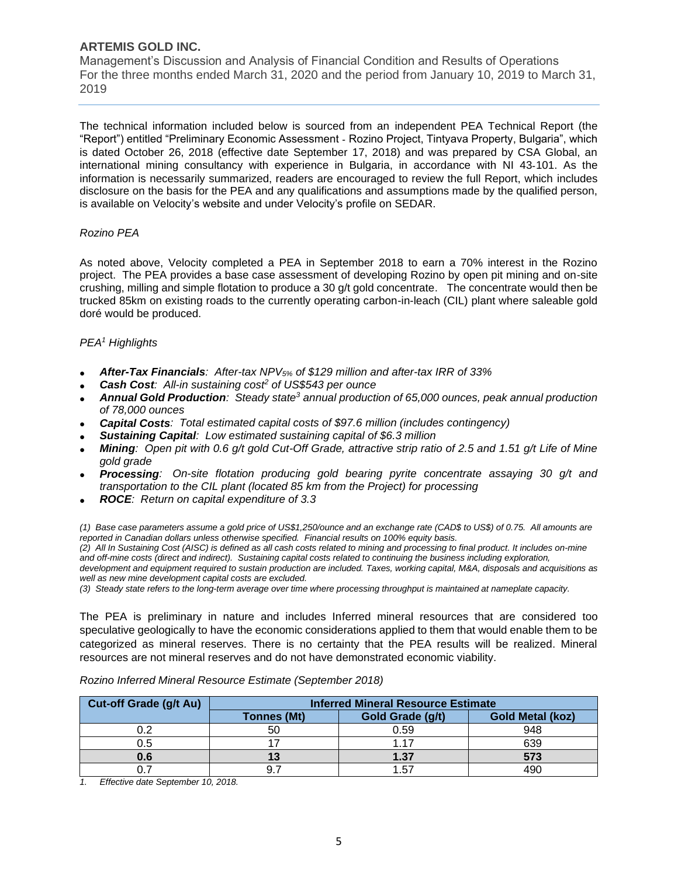Management's Discussion and Analysis of Financial Condition and Results of Operations For the three months ended March 31, 2020 and the period from January 10, 2019 to March 31, 2019

The technical information included below is sourced from an independent PEA Technical Report (the "Report") entitled "Preliminary Economic Assessment ‐ Rozino Project, Tintyava Property, Bulgaria", which is dated October 26, 2018 (effective date September 17, 2018) and was prepared by CSA Global, an international mining consultancy with experience in Bulgaria, in accordance with NI 43‐101. As the information is necessarily summarized, readers are encouraged to review the full Report, which includes disclosure on the basis for the PEA and any qualifications and assumptions made by the qualified person, is available on Velocity's website and under Velocity's profile on SEDAR.

#### *Rozino PEA*

As noted above, Velocity completed a PEA in September 2018 to earn a 70% interest in the Rozino project. The PEA provides a base case assessment of developing Rozino by open pit mining and on-site crushing, milling and simple flotation to produce a 30 g/t gold concentrate. The concentrate would then be trucked 85km on existing roads to the currently operating carbon-in-leach (CIL) plant where saleable gold doré would be produced.

## *PEA<sup>1</sup> Highlights*

- *After-Tax Financials: After-tax NPV5% of \$129 million and after-tax IRR of 33%*
- *Cash Cost: All-in sustaining cost<sup>2</sup> of US\$543 per ounce*
- *Annual Gold Production: Steady state<sup>3</sup> annual production of 65,000 ounces, peak annual production of 78,000 ounces*
- *Capital Costs: Total estimated capital costs of \$97.6 million (includes contingency)*
- *Sustaining Capital: Low estimated sustaining capital of \$6.3 million*
- *Mining: Open pit with 0.6 g/t gold Cut-Off Grade, attractive strip ratio of 2.5 and 1.51 g/t Life of Mine gold grade*
- *Processing: On-site flotation producing gold bearing pyrite concentrate assaying 30 g/t and transportation to the CIL plant (located 85 km from the Project) for processing*
- *ROCE: Return on capital expenditure of 3.3*

*(1) Base case parameters assume a gold price of US\$1,250/ounce and an exchange rate (CAD\$ to US\$) of 0.75. All amounts are reported in Canadian dollars unless otherwise specified. Financial results on 100% equity basis. (2) All In Sustaining Cost (AISC) is defined as all cash costs related to mining and processing to final product. It includes on-mine and off-mine costs (direct and indirect). Sustaining capital costs related to continuing the business including exploration, development and equipment required to sustain production are included. Taxes, working capital, M&A, disposals and acquisitions as* 

*well as new mine development capital costs are excluded.*

*(3) Steady state refers to the long-term average over time where processing throughput is maintained at nameplate capacity.*

The PEA is preliminary in nature and includes Inferred mineral resources that are considered too speculative geologically to have the economic considerations applied to them that would enable them to be categorized as mineral reserves. There is no certainty that the PEA results will be realized. Mineral resources are not mineral reserves and do not have demonstrated economic viability.

| <b>Cut-off Grade (g/t Au)</b> | <b>Inferred Mineral Resource Estimate</b> |                  |                         |  |  |  |  |  |
|-------------------------------|-------------------------------------------|------------------|-------------------------|--|--|--|--|--|
|                               | <b>Tonnes (Mt)</b>                        | Gold Grade (g/t) | <b>Gold Metal (koz)</b> |  |  |  |  |  |
|                               | 50                                        | 0.59             | 948                     |  |  |  |  |  |
|                               |                                           | 1 17             | 639                     |  |  |  |  |  |
|                               |                                           | 1.37             | 573                     |  |  |  |  |  |
|                               |                                           | 1.57             |                         |  |  |  |  |  |

*Rozino Inferred Mineral Resource Estimate (September 2018)*

*1. Effective date September 10, 2018.*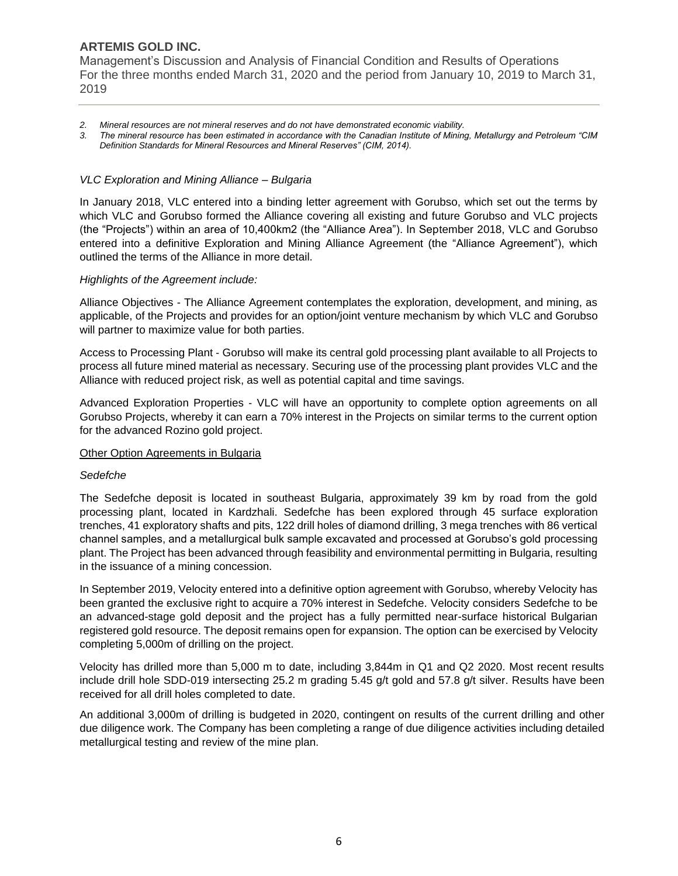Management's Discussion and Analysis of Financial Condition and Results of Operations For the three months ended March 31, 2020 and the period from January 10, 2019 to March 31, 2019

- *2. Mineral resources are not mineral reserves and do not have demonstrated economic viability.*
- *3. The mineral resource has been estimated in accordance with the Canadian Institute of Mining, Metallurgy and Petroleum "CIM Definition Standards for Mineral Resources and Mineral Reserves" (CIM, 2014).*

#### *VLC Exploration and Mining Alliance – Bulgaria*

In January 2018, VLC entered into a binding letter agreement with Gorubso, which set out the terms by which VLC and Gorubso formed the Alliance covering all existing and future Gorubso and VLC projects (the "Projects") within an area of 10,400km2 (the "Alliance Area"). In September 2018, VLC and Gorubso entered into a definitive Exploration and Mining Alliance Agreement (the "Alliance Agreement"), which outlined the terms of the Alliance in more detail.

#### *Highlights of the Agreement include:*

Alliance Objectives - The Alliance Agreement contemplates the exploration, development, and mining, as applicable, of the Projects and provides for an option/joint venture mechanism by which VLC and Gorubso will partner to maximize value for both parties.

Access to Processing Plant ‐ Gorubso will make its central gold processing plant available to all Projects to process all future mined material as necessary. Securing use of the processing plant provides VLC and the Alliance with reduced project risk, as well as potential capital and time savings.

Advanced Exploration Properties ‐ VLC will have an opportunity to complete option agreements on all Gorubso Projects, whereby it can earn a 70% interest in the Projects on similar terms to the current option for the advanced Rozino gold project.

## Other Option Agreements in Bulgaria

#### *Sedefche*

The Sedefche deposit is located in southeast Bulgaria, approximately 39 km by road from the gold processing plant, located in Kardzhali. Sedefche has been explored through 45 surface exploration trenches, 41 exploratory shafts and pits, 122 drill holes of diamond drilling, 3 mega trenches with 86 vertical channel samples, and a metallurgical bulk sample excavated and processed at Gorubso's gold processing plant. The Project has been advanced through feasibility and environmental permitting in Bulgaria, resulting in the issuance of a mining concession.

In September 2019, Velocity entered into a definitive option agreement with Gorubso, whereby Velocity has been granted the exclusive right to acquire a 70% interest in Sedefche. Velocity considers Sedefche to be an advanced-stage gold deposit and the project has a fully permitted near-surface historical Bulgarian registered gold resource. The deposit remains open for expansion. The option can be exercised by Velocity completing 5,000m of drilling on the project.

Velocity has drilled more than 5,000 m to date, including 3,844m in Q1 and Q2 2020. Most recent results include drill hole SDD-019 intersecting 25.2 m grading 5.45 g/t gold and 57.8 g/t silver. Results have been received for all drill holes completed to date.

An additional 3,000m of drilling is budgeted in 2020, contingent on results of the current drilling and other due diligence work. The Company has been completing a range of due diligence activities including detailed metallurgical testing and review of the mine plan.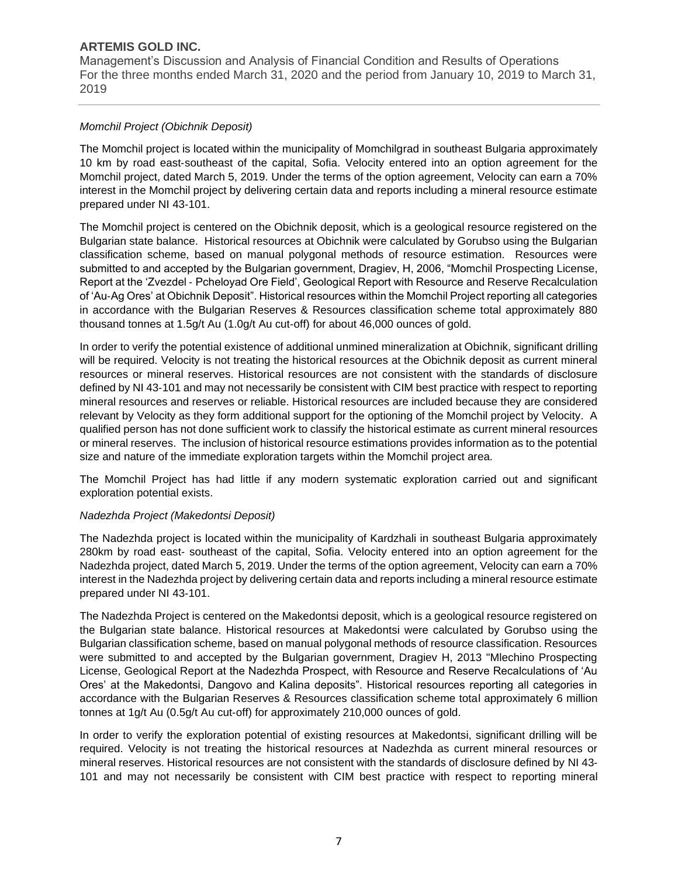Management's Discussion and Analysis of Financial Condition and Results of Operations For the three months ended March 31, 2020 and the period from January 10, 2019 to March 31, 2019

## *Momchil Project (Obichnik Deposit)*

The Momchil project is located within the municipality of Momchilgrad in southeast Bulgaria approximately 10 km by road east‐southeast of the capital, Sofia. Velocity entered into an option agreement for the Momchil project, dated March 5, 2019. Under the terms of the option agreement, Velocity can earn a 70% interest in the Momchil project by delivering certain data and reports including a mineral resource estimate prepared under NI 43‐101.

The Momchil project is centered on the Obichnik deposit, which is a geological resource registered on the Bulgarian state balance. Historical resources at Obichnik were calculated by Gorubso using the Bulgarian classification scheme, based on manual polygonal methods of resource estimation. Resources were submitted to and accepted by the Bulgarian government, Dragiev, H, 2006, "Momchil Prospecting License, Report at the 'Zvezdel ‐ Pcheloyad Ore Field', Geological Report with Resource and Reserve Recalculation of 'Au‐Ag Ores' at Obichnik Deposit". Historical resources within the Momchil Project reporting all categories in accordance with the Bulgarian Reserves & Resources classification scheme total approximately 880 thousand tonnes at 1.5g/t Au (1.0g/t Au cut‐off) for about 46,000 ounces of gold.

In order to verify the potential existence of additional unmined mineralization at Obichnik, significant drilling will be required. Velocity is not treating the historical resources at the Obichnik deposit as current mineral resources or mineral reserves. Historical resources are not consistent with the standards of disclosure defined by NI 43‐101 and may not necessarily be consistent with CIM best practice with respect to reporting mineral resources and reserves or reliable. Historical resources are included because they are considered relevant by Velocity as they form additional support for the optioning of the Momchil project by Velocity. A qualified person has not done sufficient work to classify the historical estimate as current mineral resources or mineral reserves. The inclusion of historical resource estimations provides information as to the potential size and nature of the immediate exploration targets within the Momchil project area.

The Momchil Project has had little if any modern systematic exploration carried out and significant exploration potential exists.

## *Nadezhda Project (Makedontsi Deposit)*

The Nadezhda project is located within the municipality of Kardzhali in southeast Bulgaria approximately 280km by road east‐ southeast of the capital, Sofia. Velocity entered into an option agreement for the Nadezhda project, dated March 5, 2019. Under the terms of the option agreement, Velocity can earn a 70% interest in the Nadezhda project by delivering certain data and reports including a mineral resource estimate prepared under NI 43‐101.

The Nadezhda Project is centered on the Makedontsi deposit, which is a geological resource registered on the Bulgarian state balance. Historical resources at Makedontsi were calculated by Gorubso using the Bulgarian classification scheme, based on manual polygonal methods of resource classification. Resources were submitted to and accepted by the Bulgarian government, Dragiev H, 2013 "Mlechino Prospecting License, Geological Report at the Nadezhda Prospect, with Resource and Reserve Recalculations of 'Au Ores' at the Makedontsi, Dangovo and Kalina deposits". Historical resources reporting all categories in accordance with the Bulgarian Reserves & Resources classification scheme total approximately 6 million tonnes at 1g/t Au (0.5g/t Au cut-off) for approximately 210,000 ounces of gold.

In order to verify the exploration potential of existing resources at Makedontsi, significant drilling will be required. Velocity is not treating the historical resources at Nadezhda as current mineral resources or mineral reserves. Historical resources are not consistent with the standards of disclosure defined by NI 43‐ 101 and may not necessarily be consistent with CIM best practice with respect to reporting mineral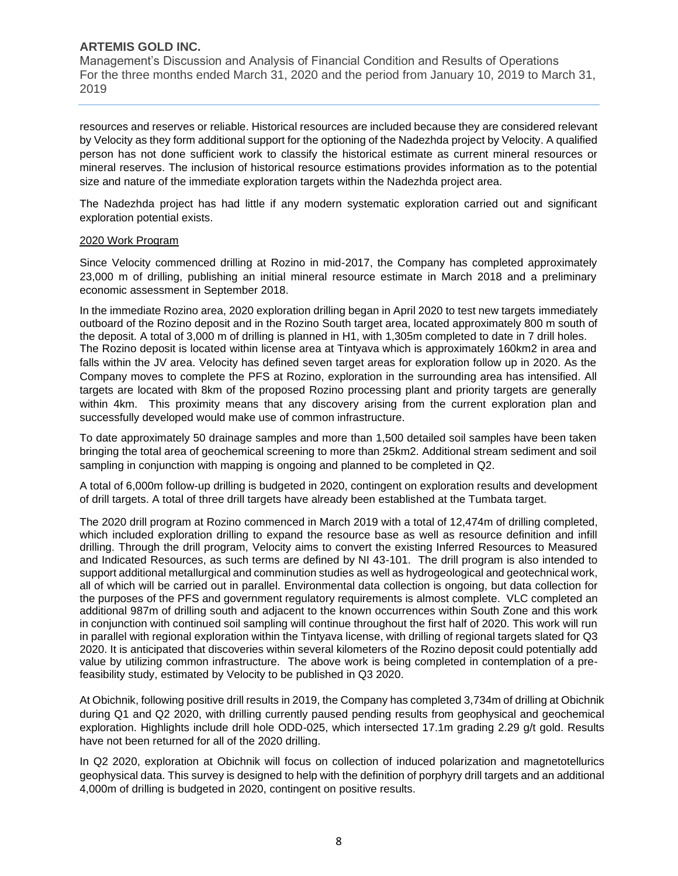Management's Discussion and Analysis of Financial Condition and Results of Operations For the three months ended March 31, 2020 and the period from January 10, 2019 to March 31, 2019

resources and reserves or reliable. Historical resources are included because they are considered relevant by Velocity as they form additional support for the optioning of the Nadezhda project by Velocity. A qualified person has not done sufficient work to classify the historical estimate as current mineral resources or mineral reserves. The inclusion of historical resource estimations provides information as to the potential size and nature of the immediate exploration targets within the Nadezhda project area.

The Nadezhda project has had little if any modern systematic exploration carried out and significant exploration potential exists.

#### 2020 Work Program

Since Velocity commenced drilling at Rozino in mid-2017, the Company has completed approximately 23,000 m of drilling, publishing an initial mineral resource estimate in March 2018 and a preliminary economic assessment in September 2018.

In the immediate Rozino area, 2020 exploration drilling began in April 2020 to test new targets immediately outboard of the Rozino deposit and in the Rozino South target area, located approximately 800 m south of the deposit. A total of 3,000 m of drilling is planned in H1, with 1,305m completed to date in 7 drill holes. The Rozino deposit is located within license area at Tintyava which is approximately 160km2 in area and falls within the JV area. Velocity has defined seven target areas for exploration follow up in 2020. As the Company moves to complete the PFS at Rozino, exploration in the surrounding area has intensified. All targets are located with 8km of the proposed Rozino processing plant and priority targets are generally within 4km. This proximity means that any discovery arising from the current exploration plan and successfully developed would make use of common infrastructure.

To date approximately 50 drainage samples and more than 1,500 detailed soil samples have been taken bringing the total area of geochemical screening to more than 25km2. Additional stream sediment and soil sampling in conjunction with mapping is ongoing and planned to be completed in Q2.

A total of 6,000m follow-up drilling is budgeted in 2020, contingent on exploration results and development of drill targets. A total of three drill targets have already been established at the Tumbata target.

The 2020 drill program at Rozino commenced in March 2019 with a total of 12,474m of drilling completed, which included exploration drilling to expand the resource base as well as resource definition and infill drilling. Through the drill program, Velocity aims to convert the existing Inferred Resources to Measured and Indicated Resources, as such terms are defined by NI 43-101. The drill program is also intended to support additional metallurgical and comminution studies as well as hydrogeological and geotechnical work, all of which will be carried out in parallel. Environmental data collection is ongoing, but data collection for the purposes of the PFS and government regulatory requirements is almost complete. VLC completed an additional 987m of drilling south and adjacent to the known occurrences within South Zone and this work in conjunction with continued soil sampling will continue throughout the first half of 2020. This work will run in parallel with regional exploration within the Tintyava license, with drilling of regional targets slated for Q3 2020. It is anticipated that discoveries within several kilometers of the Rozino deposit could potentially add value by utilizing common infrastructure. The above work is being completed in contemplation of a prefeasibility study, estimated by Velocity to be published in Q3 2020.

At Obichnik, following positive drill results in 2019, the Company has completed 3,734m of drilling at Obichnik during Q1 and Q2 2020, with drilling currently paused pending results from geophysical and geochemical exploration. Highlights include drill hole ODD-025, which intersected 17.1m grading 2.29 g/t gold. Results have not been returned for all of the 2020 drilling.

In Q2 2020, exploration at Obichnik will focus on collection of induced polarization and magnetotellurics geophysical data. This survey is designed to help with the definition of porphyry drill targets and an additional 4,000m of drilling is budgeted in 2020, contingent on positive results.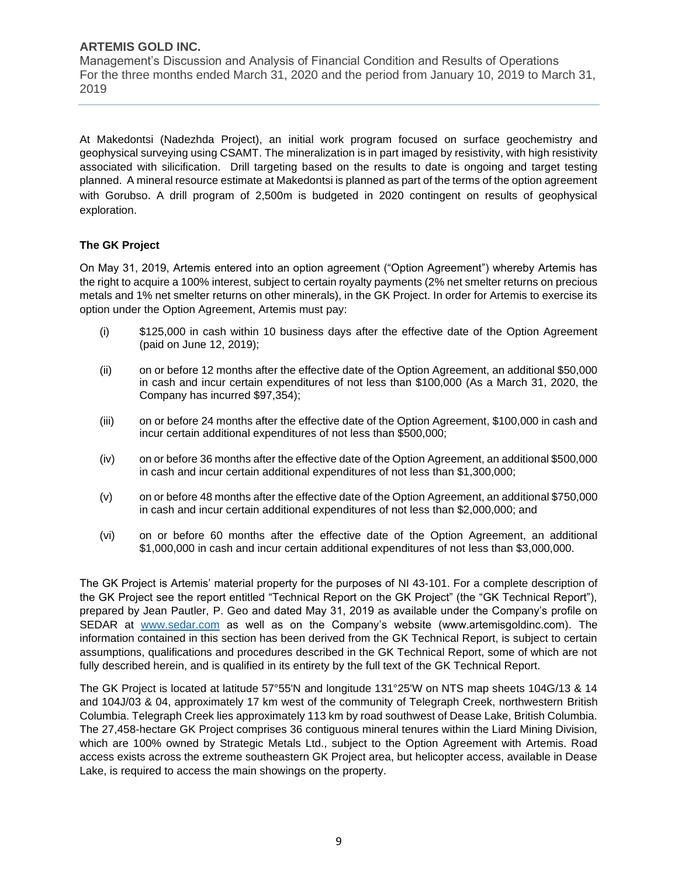Management's Discussion and Analysis of Financial Condition and Results of Operations For the three months ended March 31, 2020 and the period from January 10, 2019 to March 31, 2019

At Makedontsi (Nadezhda Project), an initial work program focused on surface geochemistry and geophysical surveying using CSAMT. The mineralization is in part imaged by resistivity, with high resistivity associated with silicification. Drill targeting based on the results to date is ongoing and target testing planned. A mineral resource estimate at Makedontsi is planned as part of the terms of the option agreement with Gorubso. A drill program of 2,500m is budgeted in 2020 contingent on results of geophysical exploration.

## **The GK Project**

On May 31, 2019, Artemis entered into an option agreement ("Option Agreement") whereby Artemis has the right to acquire a 100% interest, subject to certain royalty payments (2% net smelter returns on precious metals and 1% net smelter returns on other minerals), in the GK Project. In order for Artemis to exercise its option under the Option Agreement, Artemis must pay:

- (i) \$125,000 in cash within 10 business days after the effective date of the Option Agreement (paid on June 12, 2019);
- (ii) on or before 12 months after the effective date of the Option Agreement, an additional \$50,000 in cash and incur certain expenditures of not less than \$100,000 (As a March 31, 2020, the Company has incurred \$97,354);
- (iii) on or before 24 months after the effective date of the Option Agreement, \$100,000 in cash and incur certain additional expenditures of not less than \$500,000;
- (iv) on or before 36 months after the effective date of the Option Agreement, an additional \$500,000 in cash and incur certain additional expenditures of not less than \$1,300,000;
- (v) on or before 48 months after the effective date of the Option Agreement, an additional \$750,000 in cash and incur certain additional expenditures of not less than \$2,000,000; and
- (vi) on or before 60 months after the effective date of the Option Agreement, an additional \$1,000,000 in cash and incur certain additional expenditures of not less than \$3,000,000.

The GK Project is Artemis' material property for the purposes of NI 43-101. For a complete description of the GK Project see the report entitled "Technical Report on the GK Project" (the "GK Technical Report"), prepared by Jean Pautler, P. Geo and dated May 31, 2019 as available under the Company's profile on SEDAR at [www.sedar.com](http://www.sedar.com/) as well as on the Company's website (www.artemisgoldinc.com). The information contained in this section has been derived from the GK Technical Report, is subject to certain assumptions, qualifications and procedures described in the GK Technical Report, some of which are not fully described herein, and is qualified in its entirety by the full text of the GK Technical Report.

The GK Project is located at latitude 57°55'N and longitude 131°25'W on NTS map sheets 104G/13 & 14 and 104J/03 & 04, approximately 17 km west of the community of Telegraph Creek, northwestern British Columbia. Telegraph Creek lies approximately 113 km by road southwest of Dease Lake, British Columbia. The 27,458-hectare GK Project comprises 36 contiguous mineral tenures within the Liard Mining Division, which are 100% owned by Strategic Metals Ltd., subject to the Option Agreement with Artemis. Road access exists across the extreme southeastern GK Project area, but helicopter access, available in Dease Lake, is required to access the main showings on the property.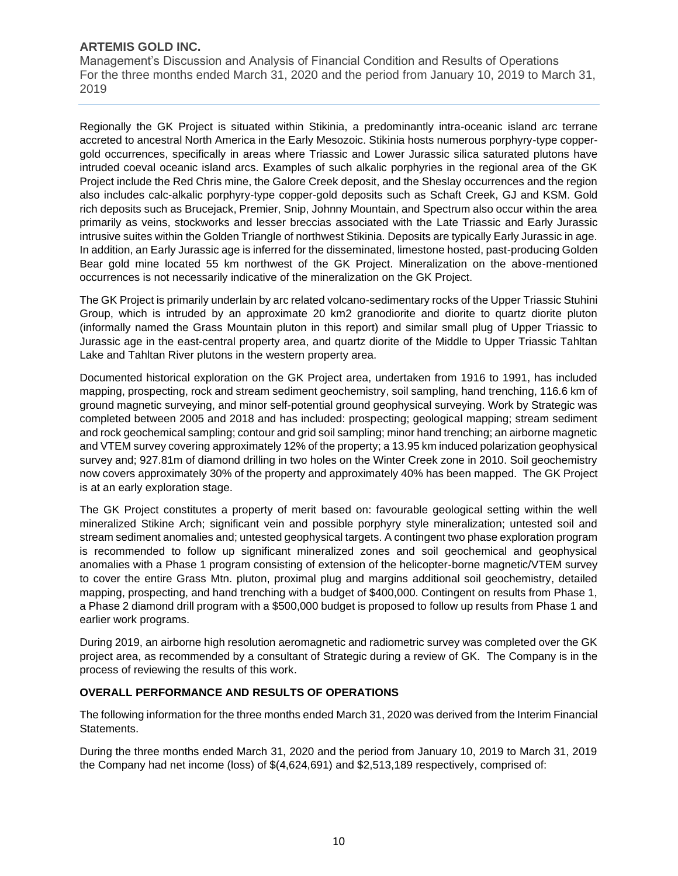Management's Discussion and Analysis of Financial Condition and Results of Operations For the three months ended March 31, 2020 and the period from January 10, 2019 to March 31, 2019

Regionally the GK Project is situated within Stikinia, a predominantly intra-oceanic island arc terrane accreted to ancestral North America in the Early Mesozoic. Stikinia hosts numerous porphyry-type coppergold occurrences, specifically in areas where Triassic and Lower Jurassic silica saturated plutons have intruded coeval oceanic island arcs. Examples of such alkalic porphyries in the regional area of the GK Project include the Red Chris mine, the Galore Creek deposit, and the Sheslay occurrences and the region also includes calc-alkalic porphyry-type copper-gold deposits such as Schaft Creek, GJ and KSM. Gold rich deposits such as Brucejack, Premier, Snip, Johnny Mountain, and Spectrum also occur within the area primarily as veins, stockworks and lesser breccias associated with the Late Triassic and Early Jurassic intrusive suites within the Golden Triangle of northwest Stikinia. Deposits are typically Early Jurassic in age. In addition, an Early Jurassic age is inferred for the disseminated, limestone hosted, past-producing Golden Bear gold mine located 55 km northwest of the GK Project. Mineralization on the above-mentioned occurrences is not necessarily indicative of the mineralization on the GK Project.

The GK Project is primarily underlain by arc related volcano-sedimentary rocks of the Upper Triassic Stuhini Group, which is intruded by an approximate 20 km2 granodiorite and diorite to quartz diorite pluton (informally named the Grass Mountain pluton in this report) and similar small plug of Upper Triassic to Jurassic age in the east-central property area, and quartz diorite of the Middle to Upper Triassic Tahltan Lake and Tahltan River plutons in the western property area.

Documented historical exploration on the GK Project area, undertaken from 1916 to 1991, has included mapping, prospecting, rock and stream sediment geochemistry, soil sampling, hand trenching, 116.6 km of ground magnetic surveying, and minor self-potential ground geophysical surveying. Work by Strategic was completed between 2005 and 2018 and has included: prospecting; geological mapping; stream sediment and rock geochemical sampling; contour and grid soil sampling; minor hand trenching; an airborne magnetic and VTEM survey covering approximately 12% of the property; a 13.95 km induced polarization geophysical survey and; 927.81m of diamond drilling in two holes on the Winter Creek zone in 2010. Soil geochemistry now covers approximately 30% of the property and approximately 40% has been mapped. The GK Project is at an early exploration stage.

The GK Project constitutes a property of merit based on: favourable geological setting within the well mineralized Stikine Arch; significant vein and possible porphyry style mineralization; untested soil and stream sediment anomalies and; untested geophysical targets. A contingent two phase exploration program is recommended to follow up significant mineralized zones and soil geochemical and geophysical anomalies with a Phase 1 program consisting of extension of the helicopter-borne magnetic/VTEM survey to cover the entire Grass Mtn. pluton, proximal plug and margins additional soil geochemistry, detailed mapping, prospecting, and hand trenching with a budget of \$400,000. Contingent on results from Phase 1, a Phase 2 diamond drill program with a \$500,000 budget is proposed to follow up results from Phase 1 and earlier work programs.

During 2019, an airborne high resolution aeromagnetic and radiometric survey was completed over the GK project area, as recommended by a consultant of Strategic during a review of GK. The Company is in the process of reviewing the results of this work.

## **OVERALL PERFORMANCE AND RESULTS OF OPERATIONS**

The following information for the three months ended March 31, 2020 was derived from the Interim Financial Statements.

During the three months ended March 31, 2020 and the period from January 10, 2019 to March 31, 2019 the Company had net income (loss) of \$(4,624,691) and \$2,513,189 respectively, comprised of: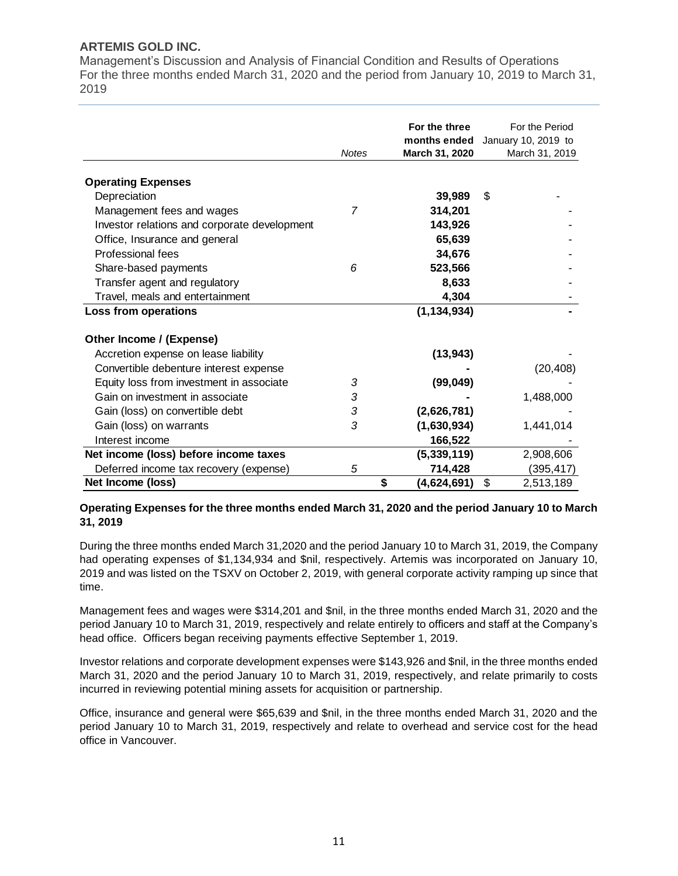Management's Discussion and Analysis of Financial Condition and Results of Operations For the three months ended March 31, 2020 and the period from January 10, 2019 to March 31, 2019

|                                              | <b>Notes</b> | For the three<br>months ended<br>March 31, 2020 | For the Period<br>January 10, 2019 to<br>March 31, 2019 |
|----------------------------------------------|--------------|-------------------------------------------------|---------------------------------------------------------|
|                                              |              |                                                 |                                                         |
| <b>Operating Expenses</b>                    |              |                                                 |                                                         |
| Depreciation                                 |              | 39,989                                          | \$                                                      |
| Management fees and wages                    | 7            | 314,201                                         |                                                         |
| Investor relations and corporate development |              | 143,926                                         |                                                         |
| Office, Insurance and general                |              | 65,639                                          |                                                         |
| Professional fees                            |              | 34,676                                          |                                                         |
| Share-based payments                         | 6            | 523,566                                         |                                                         |
| Transfer agent and regulatory                |              | 8,633                                           |                                                         |
| Travel, meals and entertainment              |              | 4,304                                           |                                                         |
| Loss from operations                         |              | (1, 134, 934)                                   |                                                         |
| Other Income / (Expense)                     |              |                                                 |                                                         |
| Accretion expense on lease liability         |              | (13, 943)                                       |                                                         |
| Convertible debenture interest expense       |              |                                                 | (20, 408)                                               |
| Equity loss from investment in associate     | 3            | (99, 049)                                       |                                                         |
| Gain on investment in associate              | 3            |                                                 | 1,488,000                                               |
| Gain (loss) on convertible debt              | 3            | (2,626,781)                                     |                                                         |
| Gain (loss) on warrants                      | 3            | (1,630,934)                                     | 1,441,014                                               |
| Interest income                              |              | 166,522                                         |                                                         |
| Net income (loss) before income taxes        |              | (5, 339, 119)                                   | 2,908,606                                               |
| Deferred income tax recovery (expense)       | 5            | 714,428                                         | (395,417)                                               |
| Net Income (loss)                            |              | \$<br>(4,624,691)                               | \$<br>2,513,189                                         |

## **Operating Expenses for the three months ended March 31, 2020 and the period January 10 to March 31, 2019**

During the three months ended March 31,2020 and the period January 10 to March 31, 2019, the Company had operating expenses of \$1,134,934 and \$nil, respectively. Artemis was incorporated on January 10, 2019 and was listed on the TSXV on October 2, 2019, with general corporate activity ramping up since that time.

Management fees and wages were \$314,201 and \$nil, in the three months ended March 31, 2020 and the period January 10 to March 31, 2019, respectively and relate entirely to officers and staff at the Company's head office. Officers began receiving payments effective September 1, 2019.

Investor relations and corporate development expenses were \$143,926 and \$nil, in the three months ended March 31, 2020 and the period January 10 to March 31, 2019, respectively, and relate primarily to costs incurred in reviewing potential mining assets for acquisition or partnership.

Office, insurance and general were \$65,639 and \$nil, in the three months ended March 31, 2020 and the period January 10 to March 31, 2019, respectively and relate to overhead and service cost for the head office in Vancouver.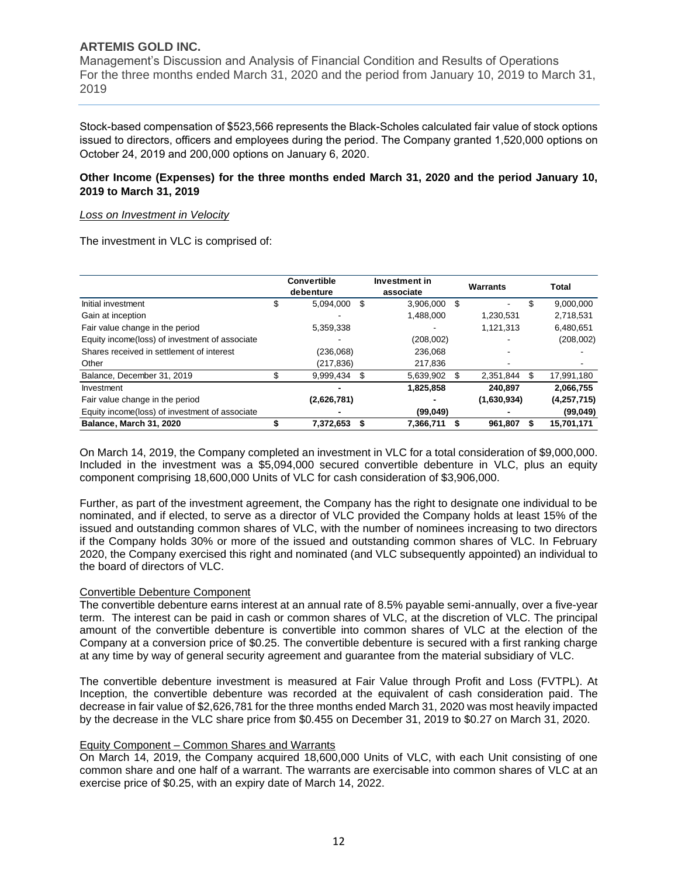Management's Discussion and Analysis of Financial Condition and Results of Operations For the three months ended March 31, 2020 and the period from January 10, 2019 to March 31, 2019

Stock-based compensation of \$523,566 represents the Black-Scholes calculated fair value of stock options issued to directors, officers and employees during the period. The Company granted 1,520,000 options on October 24, 2019 and 200,000 options on January 6, 2020.

#### **Other Income (Expenses) for the three months ended March 31, 2020 and the period January 10, 2019 to March 31, 2019**

#### *Loss on Investment in Velocity*

The investment in VLC is comprised of:

|                                                |    | <b>Convertible</b><br>debenture |     | Investment in<br>associate |    | Warrants    | Total |             |  |
|------------------------------------------------|----|---------------------------------|-----|----------------------------|----|-------------|-------|-------------|--|
| Initial investment                             | S  | 5.094.000                       | \$. | 3.906.000                  | \$ |             | \$    | 9.000.000   |  |
| Gain at inception                              |    |                                 |     | 1,488,000                  |    | 1,230,531   |       | 2,718,531   |  |
| Fair value change in the period                |    | 5,359,338                       |     |                            |    | 1.121.313   |       | 6,480,651   |  |
| Equity income(loss) of investment of associate |    |                                 |     | (208,002)                  |    |             |       | (208,002)   |  |
| Shares received in settlement of interest      |    | (236,068)                       |     | 236.068                    |    |             |       |             |  |
| Other                                          |    | (217,836)                       |     | 217,836                    |    |             |       |             |  |
| Balance, December 31, 2019                     | \$ | 9,999,434                       |     | 5,639,902                  | \$ | 2,351,844   |       | 17,991,180  |  |
| Investment                                     |    |                                 |     | 1,825,858                  |    | 240.897     |       | 2.066.755   |  |
| Fair value change in the period                |    | (2,626,781)                     |     |                            |    | (1,630,934) |       | (4,257,715) |  |
| Equity income(loss) of investment of associate |    |                                 |     | (99,049)                   |    |             |       | (99,049)    |  |
| Balance, March 31, 2020                        |    | 7.372.653                       |     | 7,366,711                  |    | 961.807     |       | 15,701,171  |  |

On March 14, 2019, the Company completed an investment in VLC for a total consideration of \$9,000,000. Included in the investment was a \$5,094,000 secured convertible debenture in VLC, plus an equity component comprising 18,600,000 Units of VLC for cash consideration of \$3,906,000.

Further, as part of the investment agreement, the Company has the right to designate one individual to be nominated, and if elected, to serve as a director of VLC provided the Company holds at least 15% of the issued and outstanding common shares of VLC, with the number of nominees increasing to two directors if the Company holds 30% or more of the issued and outstanding common shares of VLC. In February 2020, the Company exercised this right and nominated (and VLC subsequently appointed) an individual to the board of directors of VLC.

#### Convertible Debenture Component

The convertible debenture earns interest at an annual rate of 8.5% payable semi-annually, over a five-year term. The interest can be paid in cash or common shares of VLC, at the discretion of VLC. The principal amount of the convertible debenture is convertible into common shares of VLC at the election of the Company at a conversion price of \$0.25. The convertible debenture is secured with a first ranking charge at any time by way of general security agreement and guarantee from the material subsidiary of VLC.

The convertible debenture investment is measured at Fair Value through Profit and Loss (FVTPL). At Inception, the convertible debenture was recorded at the equivalent of cash consideration paid. The decrease in fair value of \$2,626,781 for the three months ended March 31, 2020 was most heavily impacted by the decrease in the VLC share price from \$0.455 on December 31, 2019 to \$0.27 on March 31, 2020.

#### Equity Component – Common Shares and Warrants

On March 14, 2019, the Company acquired 18,600,000 Units of VLC, with each Unit consisting of one common share and one half of a warrant. The warrants are exercisable into common shares of VLC at an exercise price of \$0.25, with an expiry date of March 14, 2022.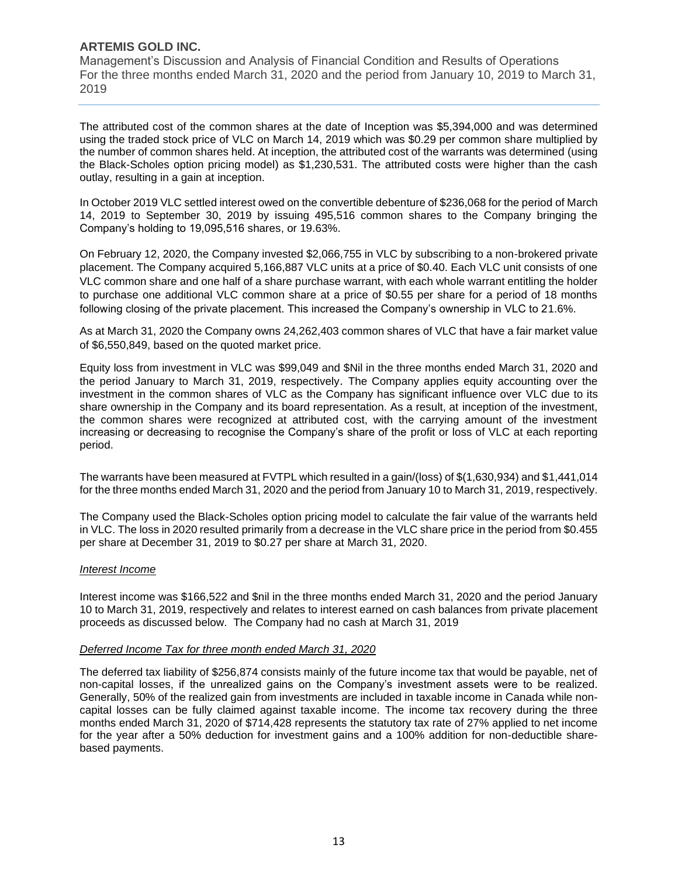Management's Discussion and Analysis of Financial Condition and Results of Operations For the three months ended March 31, 2020 and the period from January 10, 2019 to March 31, 2019

The attributed cost of the common shares at the date of Inception was \$5,394,000 and was determined using the traded stock price of VLC on March 14, 2019 which was \$0.29 per common share multiplied by the number of common shares held. At inception, the attributed cost of the warrants was determined (using the Black-Scholes option pricing model) as \$1,230,531. The attributed costs were higher than the cash outlay, resulting in a gain at inception.

In October 2019 VLC settled interest owed on the convertible debenture of \$236,068 for the period of March 14, 2019 to September 30, 2019 by issuing 495,516 common shares to the Company bringing the Company's holding to 19,095,516 shares, or 19.63%.

On February 12, 2020, the Company invested \$2,066,755 in VLC by subscribing to a non-brokered private placement. The Company acquired 5,166,887 VLC units at a price of \$0.40. Each VLC unit consists of one VLC common share and one half of a share purchase warrant, with each whole warrant entitling the holder to purchase one additional VLC common share at a price of \$0.55 per share for a period of 18 months following closing of the private placement. This increased the Company's ownership in VLC to 21.6%.

As at March 31, 2020 the Company owns 24,262,403 common shares of VLC that have a fair market value of \$6,550,849, based on the quoted market price.

Equity loss from investment in VLC was \$99,049 and \$Nil in the three months ended March 31, 2020 and the period January to March 31, 2019, respectively. The Company applies equity accounting over the investment in the common shares of VLC as the Company has significant influence over VLC due to its share ownership in the Company and its board representation. As a result, at inception of the investment, the common shares were recognized at attributed cost, with the carrying amount of the investment increasing or decreasing to recognise the Company's share of the profit or loss of VLC at each reporting period.

The warrants have been measured at FVTPL which resulted in a gain/(loss) of \$(1,630,934) and \$1,441,014 for the three months ended March 31, 2020 and the period from January 10 to March 31, 2019, respectively.

The Company used the Black-Scholes option pricing model to calculate the fair value of the warrants held in VLC. The loss in 2020 resulted primarily from a decrease in the VLC share price in the period from \$0.455 per share at December 31, 2019 to \$0.27 per share at March 31, 2020.

#### *Interest Income*

Interest income was \$166,522 and \$nil in the three months ended March 31, 2020 and the period January 10 to March 31, 2019, respectively and relates to interest earned on cash balances from private placement proceeds as discussed below. The Company had no cash at March 31, 2019

#### *Deferred Income Tax for three month ended March 31, 2020*

The deferred tax liability of \$256,874 consists mainly of the future income tax that would be payable, net of non-capital losses, if the unrealized gains on the Company's investment assets were to be realized. Generally, 50% of the realized gain from investments are included in taxable income in Canada while noncapital losses can be fully claimed against taxable income. The income tax recovery during the three months ended March 31, 2020 of \$714,428 represents the statutory tax rate of 27% applied to net income for the year after a 50% deduction for investment gains and a 100% addition for non-deductible sharebased payments.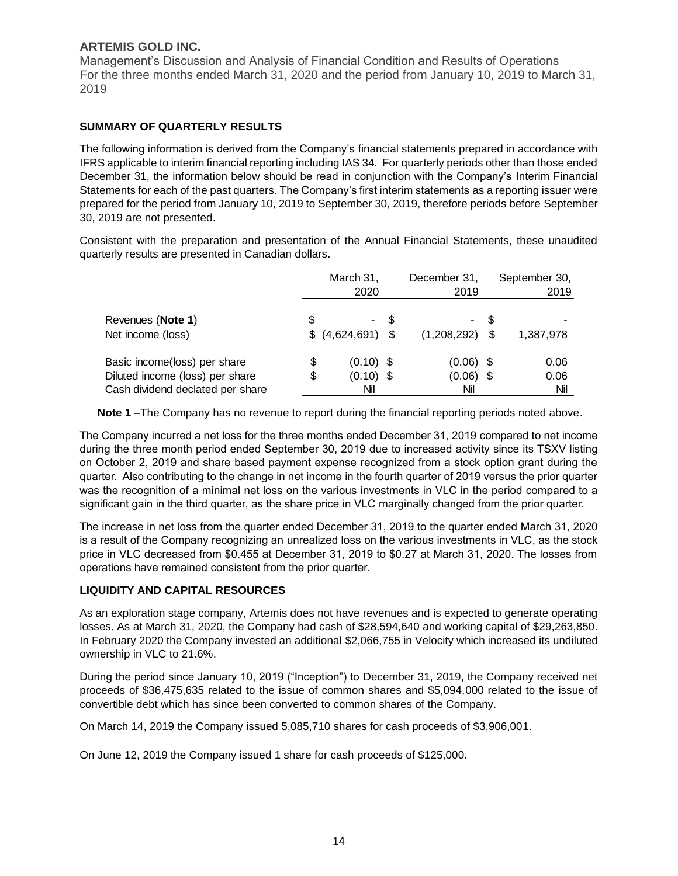Management's Discussion and Analysis of Financial Condition and Results of Operations For the three months ended March 31, 2020 and the period from January 10, 2019 to March 31, 2019

## **SUMMARY OF QUARTERLY RESULTS**

The following information is derived from the Company's financial statements prepared in accordance with IFRS applicable to interim financial reporting including IAS 34. For quarterly periods other than those ended December 31, the information below should be read in conjunction with the Company's Interim Financial Statements for each of the past quarters. The Company's first interim statements as a reporting issuer were prepared for the period from January 10, 2019 to September 30, 2019, therefore periods before September 30, 2019 are not presented.

Consistent with the preparation and presentation of the Annual Financial Statements, these unaudited quarterly results are presented in Canadian dollars.

|                                                                                                     |          | March 31,<br>2020                 | December 31,<br>2019 | September 30,<br>2019             |      |                     |
|-----------------------------------------------------------------------------------------------------|----------|-----------------------------------|----------------------|-----------------------------------|------|---------------------|
| Revenues (Note 1)<br>Net income (loss)                                                              | S        | $$(4,624,691)$ \;                 | - \$                 | ۰<br>$(1,208,292)$ \$             | - \$ | 1,387,978           |
| Basic income(loss) per share<br>Diluted income (loss) per share<br>Cash dividend declated per share | \$<br>\$ | $(0.10)$ \$<br>$(0.10)$ \$<br>Nil |                      | $(0.06)$ \$<br>$(0.06)$ \$<br>Nil |      | 0.06<br>0.06<br>Nil |

**Note 1** –The Company has no revenue to report during the financial reporting periods noted above.

The Company incurred a net loss for the three months ended December 31, 2019 compared to net income during the three month period ended September 30, 2019 due to increased activity since its TSXV listing on October 2, 2019 and share based payment expense recognized from a stock option grant during the quarter. Also contributing to the change in net income in the fourth quarter of 2019 versus the prior quarter was the recognition of a minimal net loss on the various investments in VLC in the period compared to a significant gain in the third quarter, as the share price in VLC marginally changed from the prior quarter.

The increase in net loss from the quarter ended December 31, 2019 to the quarter ended March 31, 2020 is a result of the Company recognizing an unrealized loss on the various investments in VLC, as the stock price in VLC decreased from \$0.455 at December 31, 2019 to \$0.27 at March 31, 2020. The losses from operations have remained consistent from the prior quarter.

## **LIQUIDITY AND CAPITAL RESOURCES**

As an exploration stage company, Artemis does not have revenues and is expected to generate operating losses. As at March 31, 2020, the Company had cash of \$28,594,640 and working capital of \$29,263,850. In February 2020 the Company invested an additional \$2,066,755 in Velocity which increased its undiluted ownership in VLC to 21.6%.

During the period since January 10, 2019 ("Inception") to December 31, 2019, the Company received net proceeds of \$36,475,635 related to the issue of common shares and \$5,094,000 related to the issue of convertible debt which has since been converted to common shares of the Company.

On March 14, 2019 the Company issued 5,085,710 shares for cash proceeds of \$3,906,001.

On June 12, 2019 the Company issued 1 share for cash proceeds of \$125,000.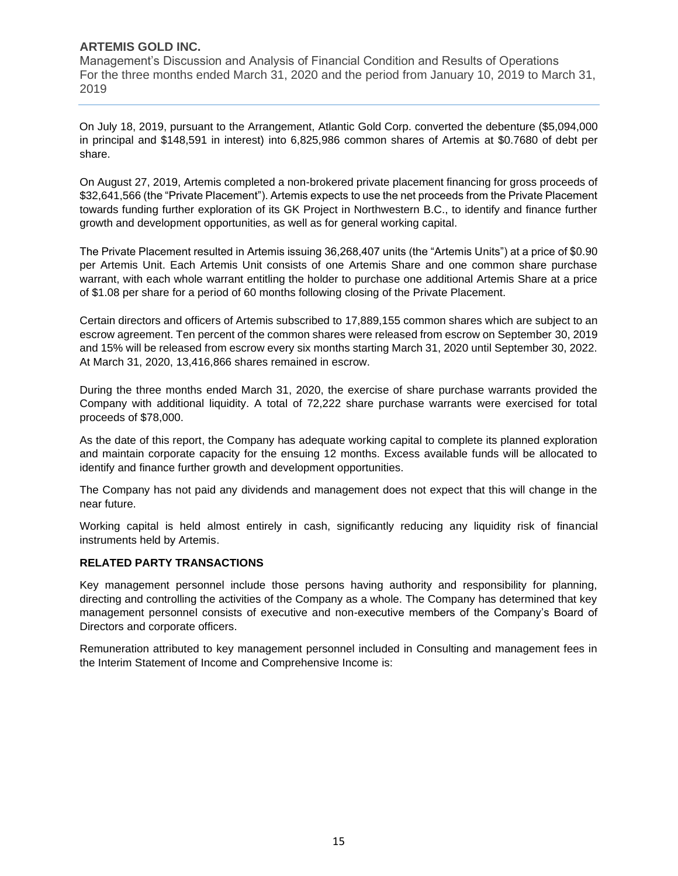Management's Discussion and Analysis of Financial Condition and Results of Operations For the three months ended March 31, 2020 and the period from January 10, 2019 to March 31, 2019

On July 18, 2019, pursuant to the Arrangement, Atlantic Gold Corp. converted the debenture (\$5,094,000 in principal and \$148,591 in interest) into 6,825,986 common shares of Artemis at \$0.7680 of debt per share.

On August 27, 2019, Artemis completed a non-brokered private placement financing for gross proceeds of \$32,641,566 (the "Private Placement"). Artemis expects to use the net proceeds from the Private Placement towards funding further exploration of its GK Project in Northwestern B.C., to identify and finance further growth and development opportunities, as well as for general working capital.

The Private Placement resulted in Artemis issuing 36,268,407 units (the "Artemis Units") at a price of \$0.90 per Artemis Unit. Each Artemis Unit consists of one Artemis Share and one common share purchase warrant, with each whole warrant entitling the holder to purchase one additional Artemis Share at a price of \$1.08 per share for a period of 60 months following closing of the Private Placement.

Certain directors and officers of Artemis subscribed to 17,889,155 common shares which are subject to an escrow agreement. Ten percent of the common shares were released from escrow on September 30, 2019 and 15% will be released from escrow every six months starting March 31, 2020 until September 30, 2022. At March 31, 2020, 13,416,866 shares remained in escrow.

During the three months ended March 31, 2020, the exercise of share purchase warrants provided the Company with additional liquidity. A total of 72,222 share purchase warrants were exercised for total proceeds of \$78,000.

As the date of this report, the Company has adequate working capital to complete its planned exploration and maintain corporate capacity for the ensuing 12 months. Excess available funds will be allocated to identify and finance further growth and development opportunities.

The Company has not paid any dividends and management does not expect that this will change in the near future.

Working capital is held almost entirely in cash, significantly reducing any liquidity risk of financial instruments held by Artemis.

## **RELATED PARTY TRANSACTIONS**

Key management personnel include those persons having authority and responsibility for planning, directing and controlling the activities of the Company as a whole. The Company has determined that key management personnel consists of executive and non-executive members of the Company's Board of Directors and corporate officers.

Remuneration attributed to key management personnel included in Consulting and management fees in the Interim Statement of Income and Comprehensive Income is: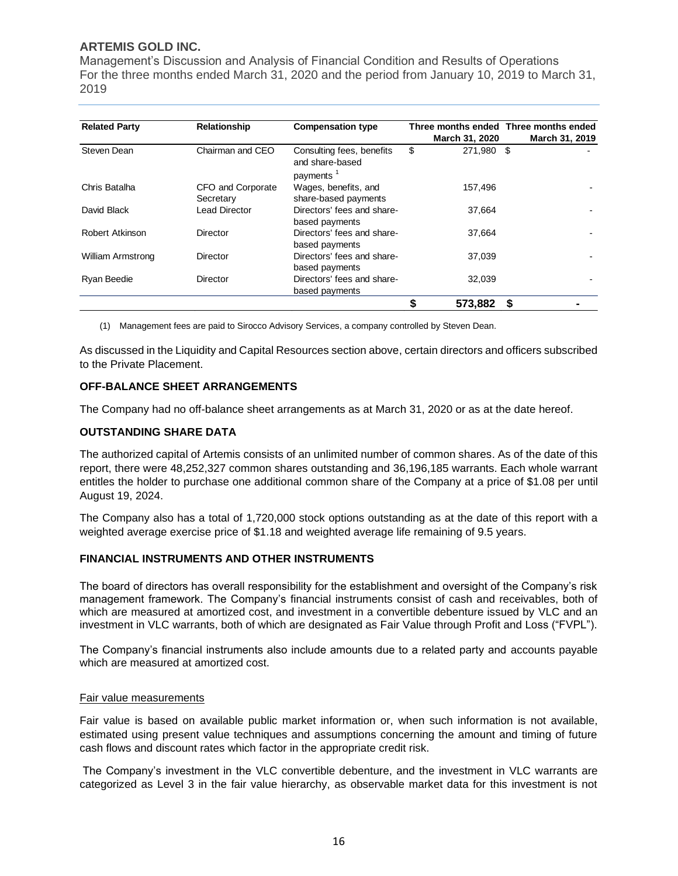Management's Discussion and Analysis of Financial Condition and Results of Operations For the three months ended March 31, 2020 and the period from January 10, 2019 to March 31, 2019

| <b>Related Party</b><br><b>Relationship</b><br><b>Compensation type</b> |                                |                                                                       | March 31, 2020   | Three months ended Three months ended | March 31, 2019 |  |
|-------------------------------------------------------------------------|--------------------------------|-----------------------------------------------------------------------|------------------|---------------------------------------|----------------|--|
| Steven Dean                                                             | Chairman and CEO               | Consulting fees, benefits<br>and share-based<br>payments <sup>1</sup> | \$<br>271,980 \$ |                                       |                |  |
| Chris Batalha                                                           | CFO and Corporate<br>Secretary | Wages, benefits, and<br>share-based payments                          | 157,496          |                                       |                |  |
| David Black                                                             | Lead Director                  | Directors' fees and share-<br>based payments                          | 37,664           |                                       |                |  |
| Robert Atkinson                                                         | Director                       | Directors' fees and share-<br>based payments                          | 37.664           |                                       |                |  |
| <b>William Armstrong</b>                                                | Director                       | Directors' fees and share-<br>based payments                          | 37,039           |                                       |                |  |
| Ryan Beedie                                                             | Director                       | Directors' fees and share-<br>based payments                          | 32,039           |                                       |                |  |
|                                                                         |                                |                                                                       | 573,882          | \$                                    |                |  |

(1) Management fees are paid to Sirocco Advisory Services, a company controlled by Steven Dean.

As discussed in the Liquidity and Capital Resources section above, certain directors and officers subscribed to the Private Placement.

#### **OFF-BALANCE SHEET ARRANGEMENTS**

The Company had no off-balance sheet arrangements as at March 31, 2020 or as at the date hereof.

#### **OUTSTANDING SHARE DATA**

The authorized capital of Artemis consists of an unlimited number of common shares. As of the date of this report, there were 48,252,327 common shares outstanding and 36,196,185 warrants. Each whole warrant entitles the holder to purchase one additional common share of the Company at a price of \$1.08 per until August 19, 2024.

The Company also has a total of 1,720,000 stock options outstanding as at the date of this report with a weighted average exercise price of \$1.18 and weighted average life remaining of 9.5 years.

#### **FINANCIAL INSTRUMENTS AND OTHER INSTRUMENTS**

The board of directors has overall responsibility for the establishment and oversight of the Company's risk management framework. The Company's financial instruments consist of cash and receivables, both of which are measured at amortized cost, and investment in a convertible debenture issued by VLC and an investment in VLC warrants, both of which are designated as Fair Value through Profit and Loss ("FVPL").

The Company's financial instruments also include amounts due to a related party and accounts payable which are measured at amortized cost.

#### Fair value measurements

Fair value is based on available public market information or, when such information is not available, estimated using present value techniques and assumptions concerning the amount and timing of future cash flows and discount rates which factor in the appropriate credit risk.

The Company's investment in the VLC convertible debenture, and the investment in VLC warrants are categorized as Level 3 in the fair value hierarchy, as observable market data for this investment is not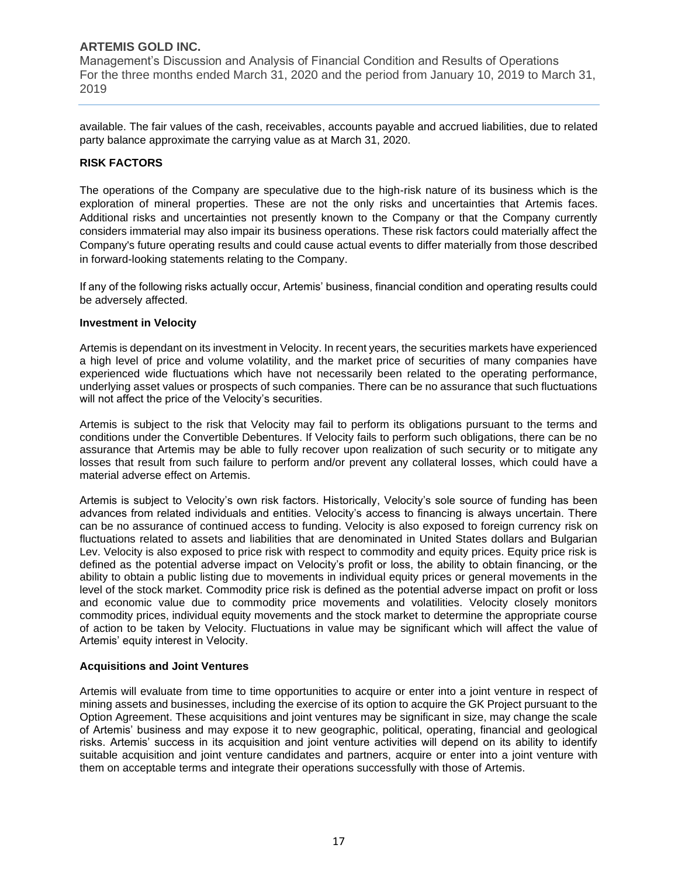Management's Discussion and Analysis of Financial Condition and Results of Operations For the three months ended March 31, 2020 and the period from January 10, 2019 to March 31, 2019

available. The fair values of the cash, receivables, accounts payable and accrued liabilities, due to related party balance approximate the carrying value as at March 31, 2020.

#### **RISK FACTORS**

The operations of the Company are speculative due to the high-risk nature of its business which is the exploration of mineral properties. These are not the only risks and uncertainties that Artemis faces. Additional risks and uncertainties not presently known to the Company or that the Company currently considers immaterial may also impair its business operations. These risk factors could materially affect the Company's future operating results and could cause actual events to differ materially from those described in forward-looking statements relating to the Company.

If any of the following risks actually occur, Artemis' business, financial condition and operating results could be adversely affected.

#### **Investment in Velocity**

Artemis is dependant on its investment in Velocity. In recent years, the securities markets have experienced a high level of price and volume volatility, and the market price of securities of many companies have experienced wide fluctuations which have not necessarily been related to the operating performance, underlying asset values or prospects of such companies. There can be no assurance that such fluctuations will not affect the price of the Velocity's securities.

Artemis is subject to the risk that Velocity may fail to perform its obligations pursuant to the terms and conditions under the Convertible Debentures. If Velocity fails to perform such obligations, there can be no assurance that Artemis may be able to fully recover upon realization of such security or to mitigate any losses that result from such failure to perform and/or prevent any collateral losses, which could have a material adverse effect on Artemis.

Artemis is subject to Velocity's own risk factors. Historically, Velocity's sole source of funding has been advances from related individuals and entities. Velocity's access to financing is always uncertain. There can be no assurance of continued access to funding. Velocity is also exposed to foreign currency risk on fluctuations related to assets and liabilities that are denominated in United States dollars and Bulgarian Lev. Velocity is also exposed to price risk with respect to commodity and equity prices. Equity price risk is defined as the potential adverse impact on Velocity's profit or loss, the ability to obtain financing, or the ability to obtain a public listing due to movements in individual equity prices or general movements in the level of the stock market. Commodity price risk is defined as the potential adverse impact on profit or loss and economic value due to commodity price movements and volatilities. Velocity closely monitors commodity prices, individual equity movements and the stock market to determine the appropriate course of action to be taken by Velocity. Fluctuations in value may be significant which will affect the value of Artemis' equity interest in Velocity.

#### **Acquisitions and Joint Ventures**

Artemis will evaluate from time to time opportunities to acquire or enter into a joint venture in respect of mining assets and businesses, including the exercise of its option to acquire the GK Project pursuant to the Option Agreement. These acquisitions and joint ventures may be significant in size, may change the scale of Artemis' business and may expose it to new geographic, political, operating, financial and geological risks. Artemis' success in its acquisition and joint venture activities will depend on its ability to identify suitable acquisition and joint venture candidates and partners, acquire or enter into a joint venture with them on acceptable terms and integrate their operations successfully with those of Artemis.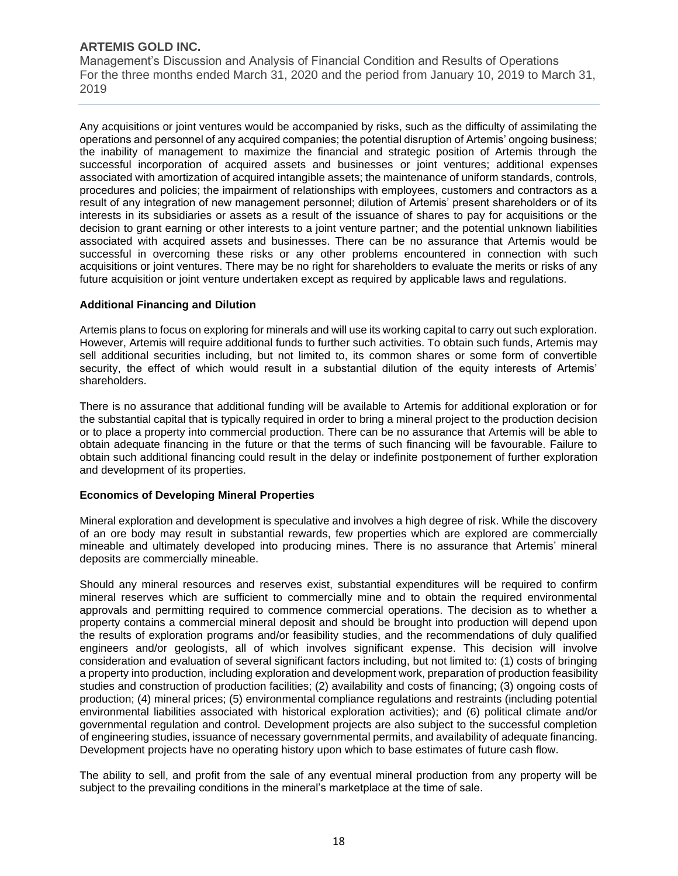Management's Discussion and Analysis of Financial Condition and Results of Operations For the three months ended March 31, 2020 and the period from January 10, 2019 to March 31, 2019

Any acquisitions or joint ventures would be accompanied by risks, such as the difficulty of assimilating the operations and personnel of any acquired companies; the potential disruption of Artemis' ongoing business; the inability of management to maximize the financial and strategic position of Artemis through the successful incorporation of acquired assets and businesses or joint ventures; additional expenses associated with amortization of acquired intangible assets; the maintenance of uniform standards, controls, procedures and policies; the impairment of relationships with employees, customers and contractors as a result of any integration of new management personnel; dilution of Artemis' present shareholders or of its interests in its subsidiaries or assets as a result of the issuance of shares to pay for acquisitions or the decision to grant earning or other interests to a joint venture partner; and the potential unknown liabilities associated with acquired assets and businesses. There can be no assurance that Artemis would be successful in overcoming these risks or any other problems encountered in connection with such acquisitions or joint ventures. There may be no right for shareholders to evaluate the merits or risks of any future acquisition or joint venture undertaken except as required by applicable laws and regulations.

#### **Additional Financing and Dilution**

Artemis plans to focus on exploring for minerals and will use its working capital to carry out such exploration. However, Artemis will require additional funds to further such activities. To obtain such funds, Artemis may sell additional securities including, but not limited to, its common shares or some form of convertible security, the effect of which would result in a substantial dilution of the equity interests of Artemis' shareholders.

There is no assurance that additional funding will be available to Artemis for additional exploration or for the substantial capital that is typically required in order to bring a mineral project to the production decision or to place a property into commercial production. There can be no assurance that Artemis will be able to obtain adequate financing in the future or that the terms of such financing will be favourable. Failure to obtain such additional financing could result in the delay or indefinite postponement of further exploration and development of its properties.

#### **Economics of Developing Mineral Properties**

Mineral exploration and development is speculative and involves a high degree of risk. While the discovery of an ore body may result in substantial rewards, few properties which are explored are commercially mineable and ultimately developed into producing mines. There is no assurance that Artemis' mineral deposits are commercially mineable.

Should any mineral resources and reserves exist, substantial expenditures will be required to confirm mineral reserves which are sufficient to commercially mine and to obtain the required environmental approvals and permitting required to commence commercial operations. The decision as to whether a property contains a commercial mineral deposit and should be brought into production will depend upon the results of exploration programs and/or feasibility studies, and the recommendations of duly qualified engineers and/or geologists, all of which involves significant expense. This decision will involve consideration and evaluation of several significant factors including, but not limited to: (1) costs of bringing a property into production, including exploration and development work, preparation of production feasibility studies and construction of production facilities; (2) availability and costs of financing; (3) ongoing costs of production; (4) mineral prices; (5) environmental compliance regulations and restraints (including potential environmental liabilities associated with historical exploration activities); and (6) political climate and/or governmental regulation and control. Development projects are also subject to the successful completion of engineering studies, issuance of necessary governmental permits, and availability of adequate financing. Development projects have no operating history upon which to base estimates of future cash flow.

The ability to sell, and profit from the sale of any eventual mineral production from any property will be subject to the prevailing conditions in the mineral's marketplace at the time of sale.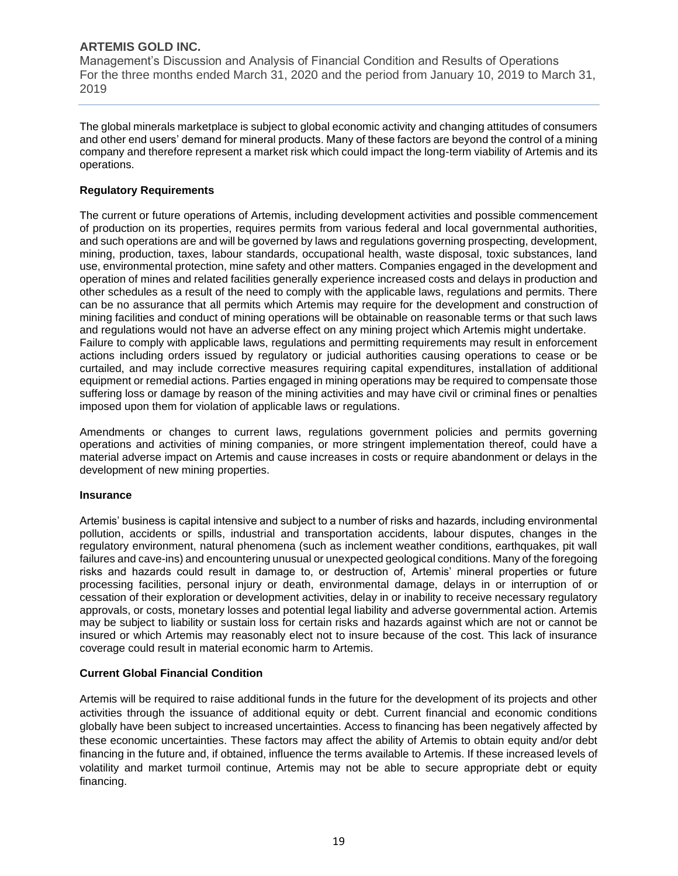Management's Discussion and Analysis of Financial Condition and Results of Operations For the three months ended March 31, 2020 and the period from January 10, 2019 to March 31, 2019

The global minerals marketplace is subject to global economic activity and changing attitudes of consumers and other end users' demand for mineral products. Many of these factors are beyond the control of a mining company and therefore represent a market risk which could impact the long-term viability of Artemis and its operations.

#### **Regulatory Requirements**

The current or future operations of Artemis, including development activities and possible commencement of production on its properties, requires permits from various federal and local governmental authorities, and such operations are and will be governed by laws and regulations governing prospecting, development, mining, production, taxes, labour standards, occupational health, waste disposal, toxic substances, land use, environmental protection, mine safety and other matters. Companies engaged in the development and operation of mines and related facilities generally experience increased costs and delays in production and other schedules as a result of the need to comply with the applicable laws, regulations and permits. There can be no assurance that all permits which Artemis may require for the development and construction of mining facilities and conduct of mining operations will be obtainable on reasonable terms or that such laws and regulations would not have an adverse effect on any mining project which Artemis might undertake. Failure to comply with applicable laws, regulations and permitting requirements may result in enforcement actions including orders issued by regulatory or judicial authorities causing operations to cease or be curtailed, and may include corrective measures requiring capital expenditures, installation of additional equipment or remedial actions. Parties engaged in mining operations may be required to compensate those suffering loss or damage by reason of the mining activities and may have civil or criminal fines or penalties imposed upon them for violation of applicable laws or regulations.

Amendments or changes to current laws, regulations government policies and permits governing operations and activities of mining companies, or more stringent implementation thereof, could have a material adverse impact on Artemis and cause increases in costs or require abandonment or delays in the development of new mining properties.

#### **Insurance**

Artemis' business is capital intensive and subject to a number of risks and hazards, including environmental pollution, accidents or spills, industrial and transportation accidents, labour disputes, changes in the regulatory environment, natural phenomena (such as inclement weather conditions, earthquakes, pit wall failures and cave-ins) and encountering unusual or unexpected geological conditions. Many of the foregoing risks and hazards could result in damage to, or destruction of, Artemis' mineral properties or future processing facilities, personal injury or death, environmental damage, delays in or interruption of or cessation of their exploration or development activities, delay in or inability to receive necessary regulatory approvals, or costs, monetary losses and potential legal liability and adverse governmental action. Artemis may be subject to liability or sustain loss for certain risks and hazards against which are not or cannot be insured or which Artemis may reasonably elect not to insure because of the cost. This lack of insurance coverage could result in material economic harm to Artemis.

## **Current Global Financial Condition**

Artemis will be required to raise additional funds in the future for the development of its projects and other activities through the issuance of additional equity or debt. Current financial and economic conditions globally have been subject to increased uncertainties. Access to financing has been negatively affected by these economic uncertainties. These factors may affect the ability of Artemis to obtain equity and/or debt financing in the future and, if obtained, influence the terms available to Artemis. If these increased levels of volatility and market turmoil continue, Artemis may not be able to secure appropriate debt or equity financing.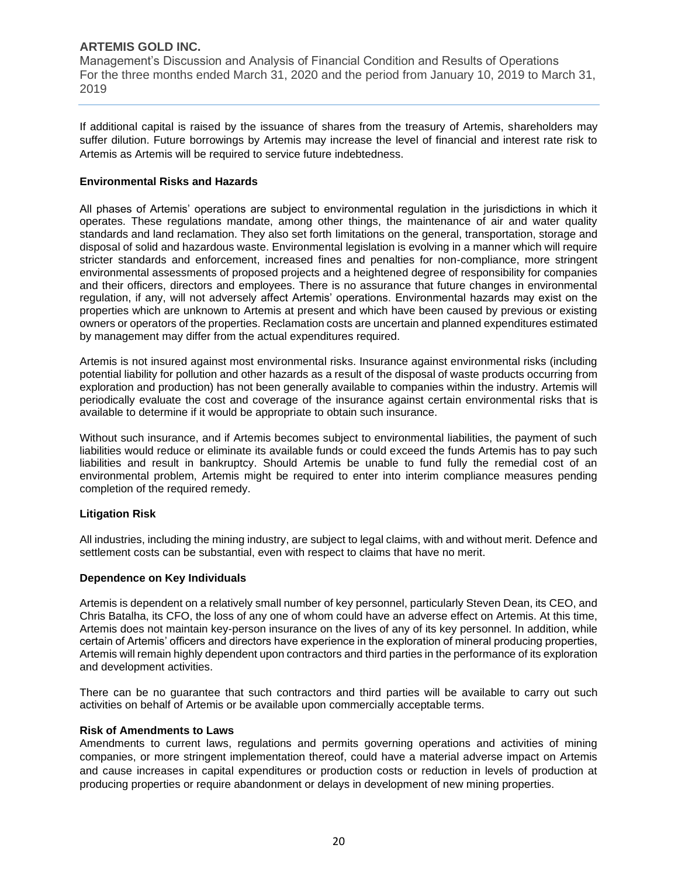Management's Discussion and Analysis of Financial Condition and Results of Operations For the three months ended March 31, 2020 and the period from January 10, 2019 to March 31, 2019

If additional capital is raised by the issuance of shares from the treasury of Artemis, shareholders may suffer dilution. Future borrowings by Artemis may increase the level of financial and interest rate risk to Artemis as Artemis will be required to service future indebtedness.

#### **Environmental Risks and Hazards**

All phases of Artemis' operations are subject to environmental regulation in the jurisdictions in which it operates. These regulations mandate, among other things, the maintenance of air and water quality standards and land reclamation. They also set forth limitations on the general, transportation, storage and disposal of solid and hazardous waste. Environmental legislation is evolving in a manner which will require stricter standards and enforcement, increased fines and penalties for non-compliance, more stringent environmental assessments of proposed projects and a heightened degree of responsibility for companies and their officers, directors and employees. There is no assurance that future changes in environmental regulation, if any, will not adversely affect Artemis' operations. Environmental hazards may exist on the properties which are unknown to Artemis at present and which have been caused by previous or existing owners or operators of the properties. Reclamation costs are uncertain and planned expenditures estimated by management may differ from the actual expenditures required.

Artemis is not insured against most environmental risks. Insurance against environmental risks (including potential liability for pollution and other hazards as a result of the disposal of waste products occurring from exploration and production) has not been generally available to companies within the industry. Artemis will periodically evaluate the cost and coverage of the insurance against certain environmental risks that is available to determine if it would be appropriate to obtain such insurance.

Without such insurance, and if Artemis becomes subject to environmental liabilities, the payment of such liabilities would reduce or eliminate its available funds or could exceed the funds Artemis has to pay such liabilities and result in bankruptcy. Should Artemis be unable to fund fully the remedial cost of an environmental problem, Artemis might be required to enter into interim compliance measures pending completion of the required remedy.

## **Litigation Risk**

All industries, including the mining industry, are subject to legal claims, with and without merit. Defence and settlement costs can be substantial, even with respect to claims that have no merit.

#### **Dependence on Key Individuals**

Artemis is dependent on a relatively small number of key personnel, particularly Steven Dean, its CEO, and Chris Batalha, its CFO, the loss of any one of whom could have an adverse effect on Artemis. At this time, Artemis does not maintain key-person insurance on the lives of any of its key personnel. In addition, while certain of Artemis' officers and directors have experience in the exploration of mineral producing properties, Artemis will remain highly dependent upon contractors and third parties in the performance of its exploration and development activities.

There can be no guarantee that such contractors and third parties will be available to carry out such activities on behalf of Artemis or be available upon commercially acceptable terms.

#### **Risk of Amendments to Laws**

Amendments to current laws, regulations and permits governing operations and activities of mining companies, or more stringent implementation thereof, could have a material adverse impact on Artemis and cause increases in capital expenditures or production costs or reduction in levels of production at producing properties or require abandonment or delays in development of new mining properties.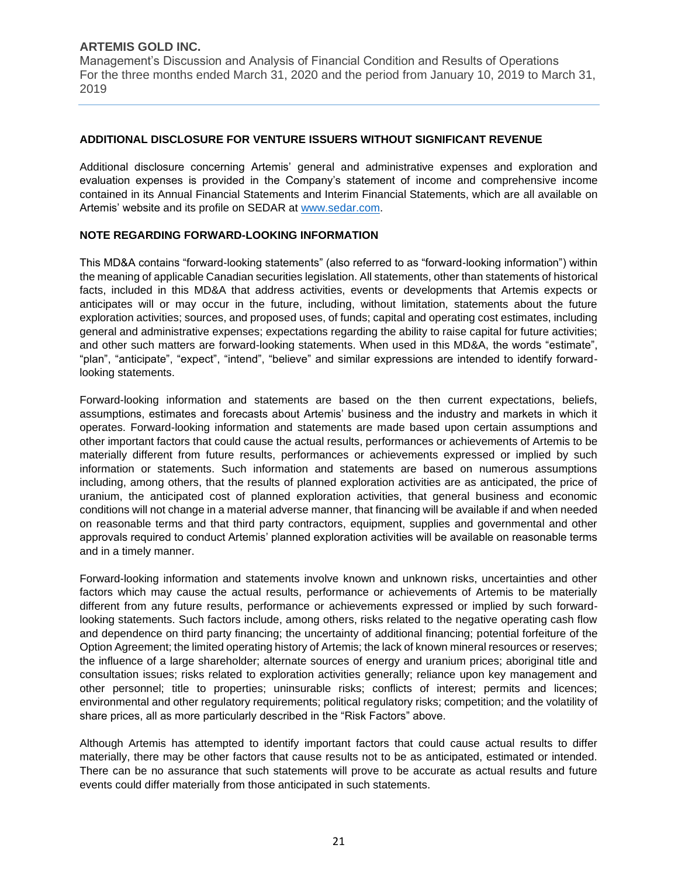Management's Discussion and Analysis of Financial Condition and Results of Operations For the three months ended March 31, 2020 and the period from January 10, 2019 to March 31, 2019

## **ADDITIONAL DISCLOSURE FOR VENTURE ISSUERS WITHOUT SIGNIFICANT REVENUE**

Additional disclosure concerning Artemis' general and administrative expenses and exploration and evaluation expenses is provided in the Company's statement of income and comprehensive income contained in its Annual Financial Statements and Interim Financial Statements, which are all available on Artemis' website and its profile on SEDAR at [www.sedar.com.](http://www.sedar.com/)

## **NOTE REGARDING FORWARD-LOOKING INFORMATION**

This MD&A contains "forward-looking statements" (also referred to as "forward-looking information") within the meaning of applicable Canadian securities legislation. All statements, other than statements of historical facts, included in this MD&A that address activities, events or developments that Artemis expects or anticipates will or may occur in the future, including, without limitation, statements about the future exploration activities; sources, and proposed uses, of funds; capital and operating cost estimates, including general and administrative expenses; expectations regarding the ability to raise capital for future activities; and other such matters are forward-looking statements. When used in this MD&A, the words "estimate", "plan", "anticipate", "expect", "intend", "believe" and similar expressions are intended to identify forwardlooking statements.

Forward-looking information and statements are based on the then current expectations, beliefs, assumptions, estimates and forecasts about Artemis' business and the industry and markets in which it operates. Forward-looking information and statements are made based upon certain assumptions and other important factors that could cause the actual results, performances or achievements of Artemis to be materially different from future results, performances or achievements expressed or implied by such information or statements. Such information and statements are based on numerous assumptions including, among others, that the results of planned exploration activities are as anticipated, the price of uranium, the anticipated cost of planned exploration activities, that general business and economic conditions will not change in a material adverse manner, that financing will be available if and when needed on reasonable terms and that third party contractors, equipment, supplies and governmental and other approvals required to conduct Artemis' planned exploration activities will be available on reasonable terms and in a timely manner.

Forward-looking information and statements involve known and unknown risks, uncertainties and other factors which may cause the actual results, performance or achievements of Artemis to be materially different from any future results, performance or achievements expressed or implied by such forwardlooking statements. Such factors include, among others, risks related to the negative operating cash flow and dependence on third party financing; the uncertainty of additional financing; potential forfeiture of the Option Agreement; the limited operating history of Artemis; the lack of known mineral resources or reserves; the influence of a large shareholder; alternate sources of energy and uranium prices; aboriginal title and consultation issues; risks related to exploration activities generally; reliance upon key management and other personnel; title to properties; uninsurable risks; conflicts of interest; permits and licences; environmental and other regulatory requirements; political regulatory risks; competition; and the volatility of share prices, all as more particularly described in the "Risk Factors" above.

Although Artemis has attempted to identify important factors that could cause actual results to differ materially, there may be other factors that cause results not to be as anticipated, estimated or intended. There can be no assurance that such statements will prove to be accurate as actual results and future events could differ materially from those anticipated in such statements.